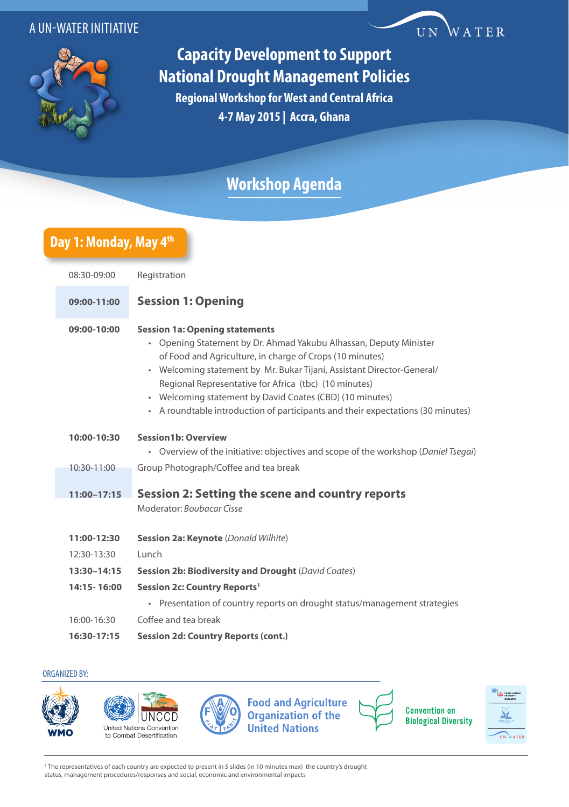#### A UN-WATER INITIATIVE



# **Capacity Development to Support National Drought Management Policies**

WATER

UN

**Regional Workshop for West and Central Africa 4-7 May 2015 | Accra, Ghana**

## **Workshop Agenda**

### **Day 1: Monday, May 4th**

| 08:30-09:00     | Registration                                                                                                                                                                                                                                                                                                                                                                                                                                                                   |
|-----------------|--------------------------------------------------------------------------------------------------------------------------------------------------------------------------------------------------------------------------------------------------------------------------------------------------------------------------------------------------------------------------------------------------------------------------------------------------------------------------------|
| 09:00-11:00     | <b>Session 1: Opening</b>                                                                                                                                                                                                                                                                                                                                                                                                                                                      |
| 09:00-10:00     | <b>Session 1a: Opening statements</b><br>• Opening Statement by Dr. Ahmad Yakubu Alhassan, Deputy Minister<br>of Food and Agriculture, in charge of Crops (10 minutes)<br>Welcoming statement by Mr. Bukar Tijani, Assistant Director-General/<br>$\bullet$<br>Regional Representative for Africa (tbc) (10 minutes)<br>Welcoming statement by David Coates (CBD) (10 minutes)<br>$\bullet$<br>• A roundtable introduction of participants and their expectations (30 minutes) |
| 10:00-10:30     | <b>Session1b: Overview</b>                                                                                                                                                                                                                                                                                                                                                                                                                                                     |
| 10:30-11:00     | • Overview of the initiative: objectives and scope of the workshop (Daniel Tsegai)<br>Group Photograph/Coffee and tea break                                                                                                                                                                                                                                                                                                                                                    |
|                 |                                                                                                                                                                                                                                                                                                                                                                                                                                                                                |
| $11:00 - 17:15$ | Session 2: Setting the scene and country reports<br>Moderator: Boubacar Cisse                                                                                                                                                                                                                                                                                                                                                                                                  |
| 11:00-12:30     | Session 2a: Keynote (Donald Wilhite)                                                                                                                                                                                                                                                                                                                                                                                                                                           |
| 12:30-13:30     | Lunch                                                                                                                                                                                                                                                                                                                                                                                                                                                                          |
| 13:30-14:15     | <b>Session 2b: Biodiversity and Drought (David Coates)</b>                                                                                                                                                                                                                                                                                                                                                                                                                     |
| 14:15-16:00     | Session 2c: Country Reports <sup>1</sup>                                                                                                                                                                                                                                                                                                                                                                                                                                       |
|                 | • Presentation of country reports on drought status/management strategies                                                                                                                                                                                                                                                                                                                                                                                                      |
| 16:00-16:30     | Coffee and tea break                                                                                                                                                                                                                                                                                                                                                                                                                                                           |
| 16:30-17:15     | <b>Session 2d: Country Reports (cont.)</b>                                                                                                                                                                                                                                                                                                                                                                                                                                     |

#### ORGANIZED BY:



1 The representatives of each country are expected to present in 5 slides (in 10 minutes max) the country's drought status, management procedures/responses and social, economic and environmental impacts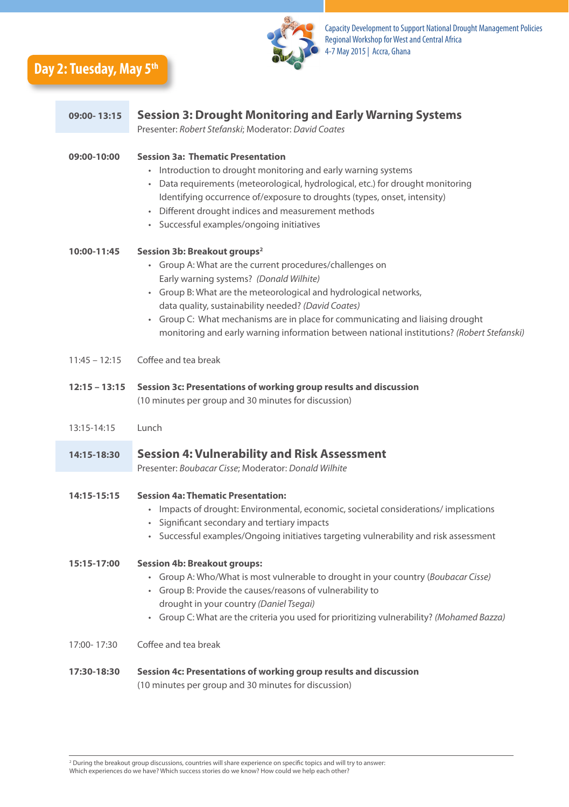



| 09:00-13:15     | <b>Session 3: Drought Monitoring and Early Warning Systems</b><br>Presenter: Robert Stefanski; Moderator: David Coates                                                                                                                                                                                                                                                                                                                                               |
|-----------------|----------------------------------------------------------------------------------------------------------------------------------------------------------------------------------------------------------------------------------------------------------------------------------------------------------------------------------------------------------------------------------------------------------------------------------------------------------------------|
| 09:00-10:00     | <b>Session 3a: Thematic Presentation</b><br>• Introduction to drought monitoring and early warning systems<br>Data requirements (meteorological, hydrological, etc.) for drought monitoring<br>Identifying occurrence of/exposure to droughts (types, onset, intensity)<br>Different drought indices and measurement methods<br>· Successful examples/ongoing initiatives                                                                                            |
| 10:00-11:45     | Session 3b: Breakout groups <sup>2</sup><br>• Group A: What are the current procedures/challenges on<br>Early warning systems? (Donald Wilhite)<br>Group B: What are the meteorological and hydrological networks,<br>$\bullet$<br>data quality, sustainability needed? (David Coates)<br>Group C: What mechanisms are in place for communicating and liaising drought<br>monitoring and early warning information between national institutions? (Robert Stefanski) |
| $11:45 - 12:15$ | Coffee and tea break                                                                                                                                                                                                                                                                                                                                                                                                                                                 |
| $12:15 - 13:15$ | Session 3c: Presentations of working group results and discussion<br>(10 minutes per group and 30 minutes for discussion)                                                                                                                                                                                                                                                                                                                                            |
| 13:15-14:15     | Lunch                                                                                                                                                                                                                                                                                                                                                                                                                                                                |
| 14:15-18:30     | <b>Session 4: Vulnerability and Risk Assessment</b><br>Presenter: Boubacar Cisse; Moderator: Donald Wilhite                                                                                                                                                                                                                                                                                                                                                          |
| 14:15-15:15     | <b>Session 4a: Thematic Presentation:</b><br>• Impacts of drought: Environmental, economic, societal considerations/implications<br>Significant secondary and tertiary impacts<br>Successful examples/Ongoing initiatives targeting vulnerability and risk assessment                                                                                                                                                                                                |
| 15:15-17:00     | <b>Session 4b: Breakout groups:</b><br>• Group A: Who/What is most vulnerable to drought in your country (Boubacar Cisse)<br>• Group B: Provide the causes/reasons of vulnerability to<br>drought in your country (Daniel Tsegai)<br>• Group C: What are the criteria you used for prioritizing vulnerability? (Mohamed Bazza)                                                                                                                                       |
| 17:00-17:30     | Coffee and tea break                                                                                                                                                                                                                                                                                                                                                                                                                                                 |
| 17:30-18:30     | Session 4c: Presentations of working group results and discussion<br>(10 minutes per group and 30 minutes for discussion)                                                                                                                                                                                                                                                                                                                                            |

<sup>2</sup> During the breakout group discussions, countries will share experience on specific topics and will try to answer: Which experiences do we have? Which success stories do we know? How could we help each other?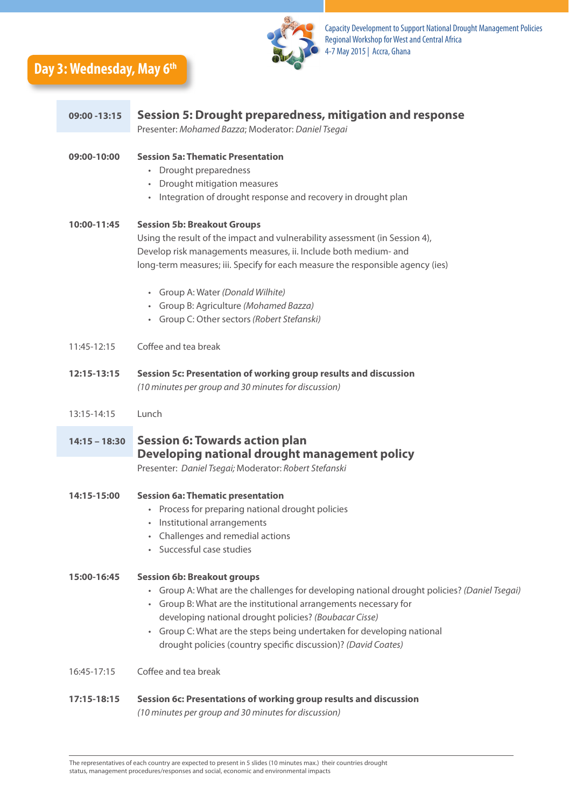**Day 3: Wednesday, May 6th**



| 09:00 - 13:15   | Session 5: Drought preparedness, mitigation and response<br>Presenter: Mohamed Bazza; Moderator: Daniel Tsegai                                                                                                                                                                                                                                                                                                          |
|-----------------|-------------------------------------------------------------------------------------------------------------------------------------------------------------------------------------------------------------------------------------------------------------------------------------------------------------------------------------------------------------------------------------------------------------------------|
| 09:00-10:00     | <b>Session 5a: Thematic Presentation</b><br>• Drought preparedness<br>Drought mitigation measures<br>Integration of drought response and recovery in drought plan<br>$\bullet$                                                                                                                                                                                                                                          |
| 10:00-11:45     | <b>Session 5b: Breakout Groups</b><br>Using the result of the impact and vulnerability assessment (in Session 4),<br>Develop risk managements measures, ii. Include both medium- and<br>long-term measures; iii. Specify for each measure the responsible agency (ies)<br>• Group A: Water (Donald Wilhite)<br>· Group B: Agriculture (Mohamed Bazza)<br>• Group C: Other sectors (Robert Stefanski)                    |
| 11:45-12:15     | Coffee and tea break                                                                                                                                                                                                                                                                                                                                                                                                    |
| 12:15-13:15     | Session 5c: Presentation of working group results and discussion<br>(10 minutes per group and 30 minutes for discussion)                                                                                                                                                                                                                                                                                                |
| 13:15-14:15     | Lunch                                                                                                                                                                                                                                                                                                                                                                                                                   |
| $14:15 - 18:30$ | <b>Session 6: Towards action plan</b><br>Developing national drought management policy<br>Presenter: Daniel Tsegai; Moderator: Robert Stefanski                                                                                                                                                                                                                                                                         |
| 14:15-15:00     | <b>Session 6a: Thematic presentation</b><br>Process for preparing national drought policies<br>Institutional arrangements<br>• Challenges and remedial actions<br>Successful case studies                                                                                                                                                                                                                               |
| 15:00-16:45     | <b>Session 6b: Breakout groups</b><br>· Group A: What are the challenges for developing national drought policies? (Daniel Tsegai)<br>• Group B: What are the institutional arrangements necessary for<br>developing national drought policies? (Boubacar Cisse)<br>Group C: What are the steps being undertaken for developing national<br>$\bullet$<br>drought policies (country specific discussion)? (David Coates) |
| 16:45-17:15     | Coffee and tea break                                                                                                                                                                                                                                                                                                                                                                                                    |
| 17:15-18:15     | Session 6c: Presentations of working group results and discussion<br>(10 minutes per group and 30 minutes for discussion)                                                                                                                                                                                                                                                                                               |